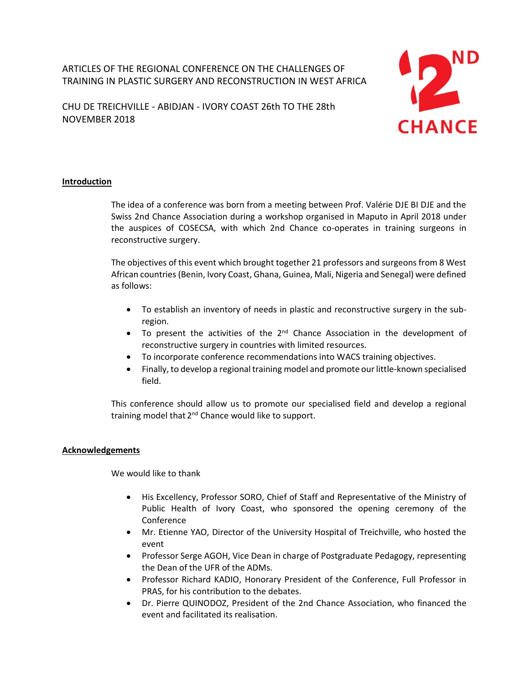ARTICLES OF THE REGIONAL CONFERENCE ON THE CHALLENGES OF TRAINING IN PLASTIC SURGERY AND RECONSTRUCTION IN WEST AFRICA

CHU DE TREICHVILLE - ABIDJAN - IVORY COAST 26th TO THE 28th NOVEMBER 2018



# **Introduction**

The idea of a conference was born from a meeting between Prof. Valérie DJE BI DJE and the Swiss 2nd Chance Association during a workshop organised in Maputo in April 2018 under the auspices of COSECSA, with which 2nd Chance co-operates in training surgeons in reconstructive surgery.

The objectives of this event which brought together 21 professors and surgeons from 8 West African countries (Benin, Ivory Coast, Ghana, Guinea, Mali, Nigeria and Senegal) were defined as follows:

- To establish an inventory of needs in plastic and reconstructive surgery in the subregion.
- $\bullet$  To present the activities of the  $2^{nd}$  Chance Association in the development of reconstructive surgery in countries with limited resources.
- To incorporate conference recommendations into WACS training objectives.
- Finally, to develop a regional training model and promote our little-known specialised field.

This conference should allow us to promote our specialised field and develop a regional training model that 2<sup>nd</sup> Chance would like to support.

# **Acknowledgements**

We would like to thank

- His Excellency, Professor SORO, Chief of Staff and Representative of the Ministry of Public Health of Ivory Coast, who sponsored the opening ceremony of the Conference
- Mr. Etienne YAO, Director of the University Hospital of Treichville, who hosted the event
- Professor Serge AGOH, Vice Dean in charge of Postgraduate Pedagogy, representing the Dean of the UFR of the ADMs.
- Professor Richard KADIO, Honorary President of the Conference, Full Professor in PRAS, for his contribution to the debates.
- Dr. Pierre QUINODOZ, President of the 2nd Chance Association, who financed the event and facilitated its realisation.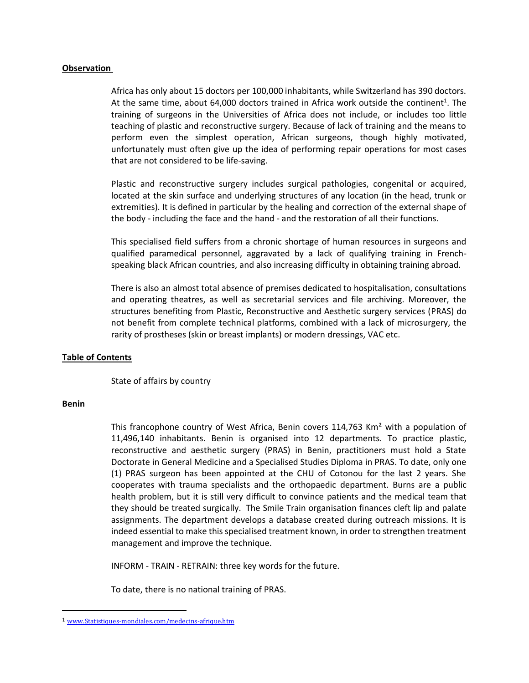#### **Observation**

Africa has only about 15 doctors per 100,000 inhabitants, while Switzerland has 390 doctors. At the same time, about 64,000 doctors trained in Africa work outside the continent<sup>1</sup>. The training of surgeons in the Universities of Africa does not include, or includes too little teaching of plastic and reconstructive surgery. Because of lack of training and the means to perform even the simplest operation, African surgeons, though highly motivated, unfortunately must often give up the idea of performing repair operations for most cases that are not considered to be life-saving.

Plastic and reconstructive surgery includes surgical pathologies, congenital or acquired, located at the skin surface and underlying structures of any location (in the head, trunk or extremities). It is defined in particular by the healing and correction of the external shape of the body - including the face and the hand - and the restoration of all their functions.

This specialised field suffers from a chronic shortage of human resources in surgeons and qualified paramedical personnel, aggravated by a lack of qualifying training in Frenchspeaking black African countries, and also increasing difficulty in obtaining training abroad.

There is also an almost total absence of premises dedicated to hospitalisation, consultations and operating theatres, as well as secretarial services and file archiving. Moreover, the structures benefiting from Plastic, Reconstructive and Aesthetic surgery services (PRAS) do not benefit from complete technical platforms, combined with a lack of microsurgery, the rarity of prostheses (skin or breast implants) or modern dressings, VAC etc.

#### **Table of Contents**

State of affairs by country

#### **Benin**

 $\overline{a}$ 

This francophone country of West Africa, Benin covers  $114,763$  Km<sup>2</sup> with a population of 11,496,140 inhabitants. Benin is organised into 12 departments. To practice plastic, reconstructive and aesthetic surgery (PRAS) in Benin, practitioners must hold a State Doctorate in General Medicine and a Specialised Studies Diploma in PRAS. To date, only one (1) PRAS surgeon has been appointed at the CHU of Cotonou for the last 2 years. She cooperates with trauma specialists and the orthopaedic department. Burns are a public health problem, but it is still very difficult to convince patients and the medical team that they should be treated surgically. The Smile Train organisation finances cleft lip and palate assignments. The department develops a database created during outreach missions. It is indeed essential to make this specialised treatment known, in order to strengthen treatment management and improve the technique.

INFORM - TRAIN - RETRAIN: three key words for the future.

To date, there is no national training of PRAS.

<sup>1</sup> [www.Statistiques-mondiales.com/medecins-afrique.htm](http://www.statistiques-mondiales.com/medecins-afrique.htm)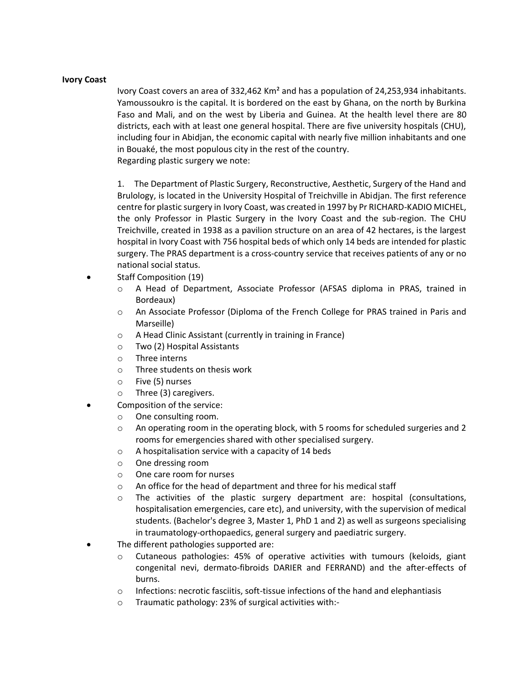## **Ivory Coast**

Ivory Coast covers an area of 332,462 Km² and has a population of 24,253,934 inhabitants. Yamoussoukro is the capital. It is bordered on the east by Ghana, on the north by Burkina Faso and Mali, and on the west by Liberia and Guinea. At the health level there are 80 districts, each with at least one general hospital. There are five university hospitals (CHU), including four in Abidjan, the economic capital with nearly five million inhabitants and one in Bouaké, the most populous city in the rest of the country. Regarding plastic surgery we note:

1. The Department of Plastic Surgery, Reconstructive, Aesthetic, Surgery of the Hand and Brulology, is located in the University Hospital of Treichville in Abidjan. The first reference centre for plastic surgery in Ivory Coast, was created in 1997 by Pr RICHARD-KADIO MICHEL, the only Professor in Plastic Surgery in the Ivory Coast and the sub-region. The CHU Treichville, created in 1938 as a pavilion structure on an area of 42 hectares, is the largest hospital in Ivory Coast with 756 hospital beds of which only 14 beds are intended for plastic surgery. The PRAS department is a cross-country service that receives patients of any or no national social status.

- Staff Composition (19)
	- o A Head of Department, Associate Professor (AFSAS diploma in PRAS, trained in Bordeaux)
	- o An Associate Professor (Diploma of the French College for PRAS trained in Paris and Marseille)
	- o A Head Clinic Assistant (currently in training in France)
	- o Two (2) Hospital Assistants
	- $\circ$  Three interns
	- o Three students on thesis work
	- o Five (5) nurses
	- o Three (3) caregivers.
- Composition of the service:
	- o One consulting room.
	- $\circ$  An operating room in the operating block, with 5 rooms for scheduled surgeries and 2 rooms for emergencies shared with other specialised surgery.
	- o A hospitalisation service with a capacity of 14 beds
	- o One dressing room
	- o One care room for nurses
	- o An office for the head of department and three for his medical staff
	- o The activities of the plastic surgery department are: hospital (consultations, hospitalisation emergencies, care etc), and university, with the supervision of medical students. (Bachelor's degree 3, Master 1, PhD 1 and 2) as well as surgeons specialising in traumatology-orthopaedics, general surgery and paediatric surgery.
	- The different pathologies supported are:
		- $\circ$  Cutaneous pathologies: 45% of operative activities with tumours (keloids, giant congenital nevi, dermato-fibroids DARIER and FERRAND) and the after-effects of burns.
		- $\circ$  Infections: necrotic fasciitis, soft-tissue infections of the hand and elephantiasis
		- o Traumatic pathology: 23% of surgical activities with:-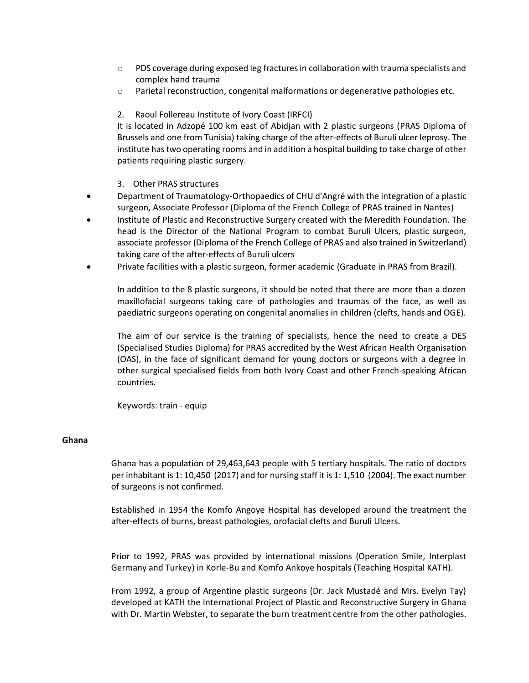- $\circ$  PDS coverage during exposed leg fractures in collaboration with trauma specialists and complex hand trauma
- o Parietal reconstruction, congenital malformations or degenerative pathologies etc.
- 2. Raoul Follereau Institute of Ivory Coast (IRFCI)

It is located in Adzopé 100 km east of Abidjan with 2 plastic surgeons (PRAS Diploma of Brussels and one from Tunisia) taking charge of the after-effects of Buruli ulcer leprosy. The institute has two operating rooms and in addition a hospital building to take charge of other patients requiring plastic surgery.

- 3. Other PRAS structures
- Department of Traumatology-Orthopaedics of CHU d'Angré with the integration of a plastic surgeon, Associate Professor (Diploma of the French College of PRAS trained in Nantes)
- Institute of Plastic and Reconstructive Surgery created with the Meredith Foundation. The head is the Director of the National Program to combat Buruli Ulcers, plastic surgeon, associate professor (Diploma of the French College of PRAS and also trained in Switzerland) taking care of the after-effects of Buruli ulcers
- Private facilities with a plastic surgeon, former academic (Graduate in PRAS from Brazil).

In addition to the 8 plastic surgeons, it should be noted that there are more than a dozen maxillofacial surgeons taking care of pathologies and traumas of the face, as well as paediatric surgeons operating on congenital anomalies in children (clefts, hands and OGE).

The aim of our service is the training of specialists, hence the need to create a DES (Specialised Studies Diploma) for PRAS accredited by the West African Health Organisation (OAS), in the face of significant demand for young doctors or surgeons with a degree in other surgical specialised fields from both Ivory Coast and other French-speaking African countries.

Keywords: train - equip

#### **Ghana**

Ghana has a population of 29,463,643 people with 5 tertiary hospitals. The ratio of doctors per inhabitant is 1: 10,450 (2017) and for nursing staff it is 1: 1,510 (2004). The exact number of surgeons is not confirmed.

Established in 1954 the Komfo Angoye Hospital has developed around the treatment the after-effects of burns, breast pathologies, orofacial clefts and Buruli Ulcers.

Prior to 1992, PRAS was provided by international missions (Operation Smile, Interplast Germany and Turkey) in Korle-Bu and Komfo Ankoye hospitals (Teaching Hospital KATH).

From 1992, a group of Argentine plastic surgeons (Dr. Jack Mustadé and Mrs. Evelyn Tay) developed at KATH the International Project of Plastic and Reconstructive Surgery in Ghana with Dr. Martin Webster, to separate the burn treatment centre from the other pathologies.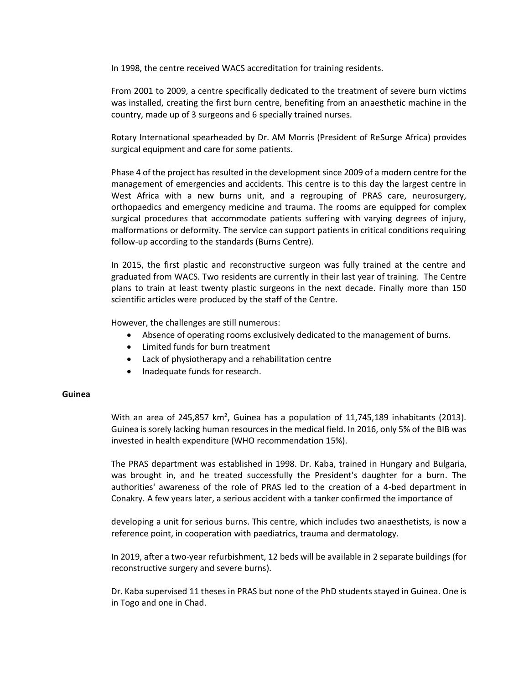In 1998, the centre received WACS accreditation for training residents.

From 2001 to 2009, a centre specifically dedicated to the treatment of severe burn victims was installed, creating the first burn centre, benefiting from an anaesthetic machine in the country, made up of 3 surgeons and 6 specially trained nurses.

Rotary International spearheaded by Dr. AM Morris (President of ReSurge Africa) provides surgical equipment and care for some patients.

Phase 4 of the project has resulted in the development since 2009 of a modern centre for the management of emergencies and accidents. This centre is to this day the largest centre in West Africa with a new burns unit, and a regrouping of PRAS care, neurosurgery, orthopaedics and emergency medicine and trauma. The rooms are equipped for complex surgical procedures that accommodate patients suffering with varying degrees of injury, malformations or deformity. The service can support patients in critical conditions requiring follow-up according to the standards (Burns Centre).

In 2015, the first plastic and reconstructive surgeon was fully trained at the centre and graduated from WACS. Two residents are currently in their last year of training. The Centre plans to train at least twenty plastic surgeons in the next decade. Finally more than 150 scientific articles were produced by the staff of the Centre.

However, the challenges are still numerous:

- Absence of operating rooms exclusively dedicated to the management of burns.
- Limited funds for burn treatment
- Lack of physiotherapy and a rehabilitation centre
- Inadequate funds for research.

#### **Guinea**

With an area of 245,857 km<sup>2</sup>, Guinea has a population of 11,745,189 inhabitants (2013). Guinea is sorely lacking human resources in the medical field. In 2016, only 5% of the BIB was invested in health expenditure (WHO recommendation 15%).

The PRAS department was established in 1998. Dr. Kaba, trained in Hungary and Bulgaria, was brought in, and he treated successfully the President's daughter for a burn. The authorities' awareness of the role of PRAS led to the creation of a 4-bed department in Conakry. A few years later, a serious accident with a tanker confirmed the importance of

developing a unit for serious burns. This centre, which includes two anaesthetists, is now a reference point, in cooperation with paediatrics, trauma and dermatology.

In 2019, after a two-year refurbishment, 12 beds will be available in 2 separate buildings (for reconstructive surgery and severe burns).

Dr. Kaba supervised 11 theses in PRAS but none of the PhD students stayed in Guinea. One is in Togo and one in Chad.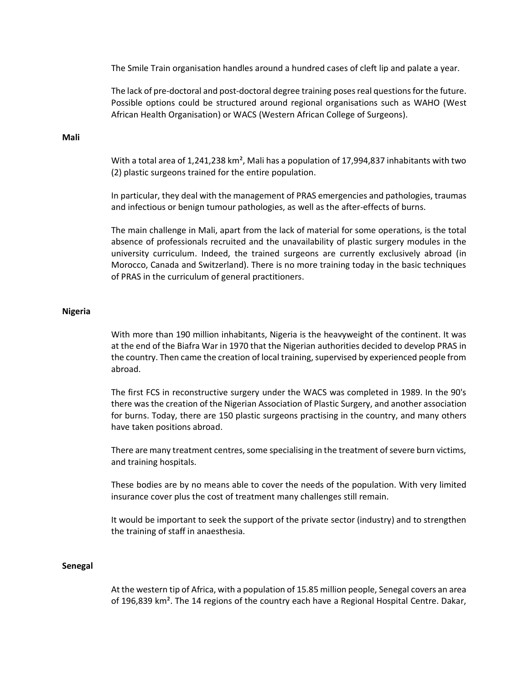The Smile Train organisation handles around a hundred cases of cleft lip and palate a year.

The lack of pre-doctoral and post-doctoral degree training poses real questions for the future. Possible options could be structured around regional organisations such as WAHO (West African Health Organisation) or WACS (Western African College of Surgeons).

#### **Mali**

With a total area of 1,241,238 km<sup>2</sup>, Mali has a population of 17,994,837 inhabitants with two (2) plastic surgeons trained for the entire population.

In particular, they deal with the management of PRAS emergencies and pathologies, traumas and infectious or benign tumour pathologies, as well as the after-effects of burns.

The main challenge in Mali, apart from the lack of material for some operations, is the total absence of professionals recruited and the unavailability of plastic surgery modules in the university curriculum. Indeed, the trained surgeons are currently exclusively abroad (in Morocco, Canada and Switzerland). There is no more training today in the basic techniques of PRAS in the curriculum of general practitioners.

#### **Nigeria**

With more than 190 million inhabitants, Nigeria is the heavyweight of the continent. It was at the end of the Biafra War in 1970 that the Nigerian authorities decided to develop PRAS in the country. Then came the creation of local training, supervised by experienced people from abroad.

The first FCS in reconstructive surgery under the WACS was completed in 1989. In the 90's there was the creation of the Nigerian Association of Plastic Surgery, and another association for burns. Today, there are 150 plastic surgeons practising in the country, and many others have taken positions abroad.

There are many treatment centres, some specialising in the treatment of severe burn victims, and training hospitals.

These bodies are by no means able to cover the needs of the population. With very limited insurance cover plus the cost of treatment many challenges still remain.

It would be important to seek the support of the private sector (industry) and to strengthen the training of staff in anaesthesia.

#### **Senegal**

At the western tip of Africa, with a population of 15.85 million people, Senegal covers an area of 196,839 km². The 14 regions of the country each have a Regional Hospital Centre. Dakar,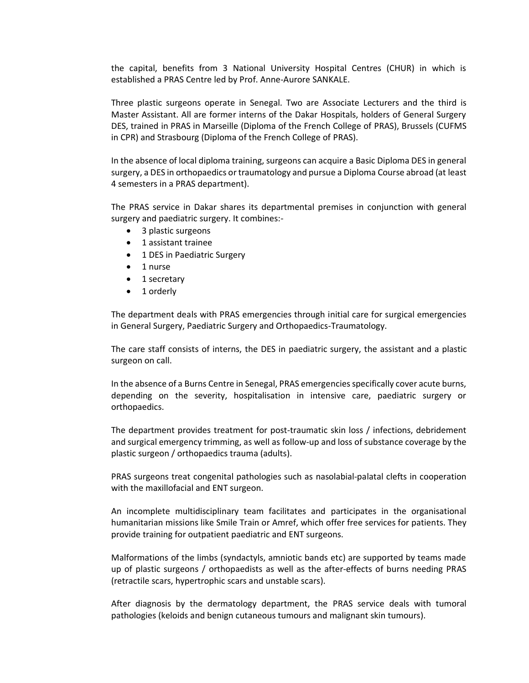the capital, benefits from 3 National University Hospital Centres (CHUR) in which is established a PRAS Centre led by Prof. Anne-Aurore SANKALE.

Three plastic surgeons operate in Senegal. Two are Associate Lecturers and the third is Master Assistant. All are former interns of the Dakar Hospitals, holders of General Surgery DES, trained in PRAS in Marseille (Diploma of the French College of PRAS), Brussels (CUFMS in CPR) and Strasbourg (Diploma of the French College of PRAS).

In the absence of local diploma training, surgeons can acquire a Basic Diploma DES in general surgery, a DES in orthopaedics or traumatology and pursue a Diploma Course abroad (at least 4 semesters in a PRAS department).

The PRAS service in Dakar shares its departmental premises in conjunction with general surgery and paediatric surgery. It combines:-

- 3 plastic surgeons
- 1 assistant trainee
- 1 DES in Paediatric Surgery
- 1 nurse
- 1 secretary
- 1 orderly

The department deals with PRAS emergencies through initial care for surgical emergencies in General Surgery, Paediatric Surgery and Orthopaedics-Traumatology.

The care staff consists of interns, the DES in paediatric surgery, the assistant and a plastic surgeon on call.

In the absence of a Burns Centre in Senegal, PRAS emergencies specifically cover acute burns, depending on the severity, hospitalisation in intensive care, paediatric surgery or orthopaedics.

The department provides treatment for post-traumatic skin loss / infections, debridement and surgical emergency trimming, as well as follow-up and loss of substance coverage by the plastic surgeon / orthopaedics trauma (adults).

PRAS surgeons treat congenital pathologies such as nasolabial-palatal clefts in cooperation with the maxillofacial and ENT surgeon.

An incomplete multidisciplinary team facilitates and participates in the organisational humanitarian missions like Smile Train or Amref, which offer free services for patients. They provide training for outpatient paediatric and ENT surgeons.

Malformations of the limbs (syndactyls, amniotic bands etc) are supported by teams made up of plastic surgeons / orthopaedists as well as the after-effects of burns needing PRAS (retractile scars, hypertrophic scars and unstable scars).

After diagnosis by the dermatology department, the PRAS service deals with tumoral pathologies (keloids and benign cutaneous tumours and malignant skin tumours).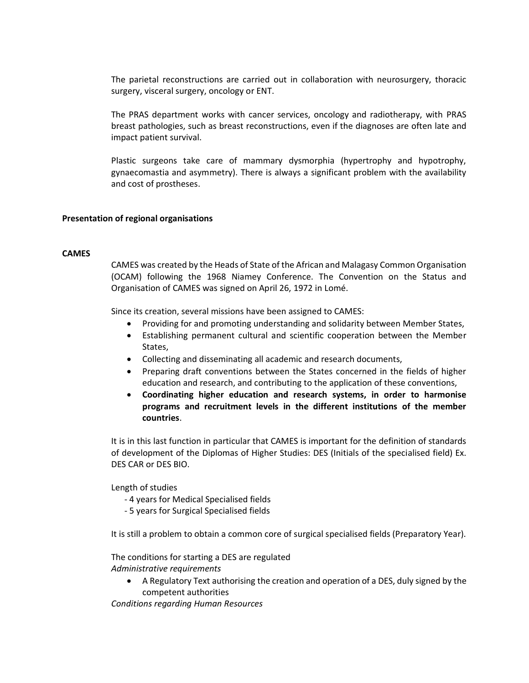The parietal reconstructions are carried out in collaboration with neurosurgery, thoracic surgery, visceral surgery, oncology or ENT.

The PRAS department works with cancer services, oncology and radiotherapy, with PRAS breast pathologies, such as breast reconstructions, even if the diagnoses are often late and impact patient survival.

Plastic surgeons take care of mammary dysmorphia (hypertrophy and hypotrophy, gynaecomastia and asymmetry). There is always a significant problem with the availability and cost of prostheses.

## **Presentation of regional organisations**

#### **CAMES**

CAMES was created by th[e Heads of State](https://fr.wikipedia.org/wiki/Chef_d%27%C3%89tat) of the African and Malagasy Common Organisation (OCAM) following the 1968 [Niamey](https://fr.wikipedia.org/wiki/Niamey) Conference. The Convention on the Status and Organisation of CAMES was signed on April 26, 1972 i[n Lomé.](https://fr.wikipedia.org/wiki/Lom%C3%A9)

Since its creation, several missions have been assigned to CAMES:

- Providing for and promoting understanding and solidarity between Member States,
- Establishing permanent cultural and scientific cooperation between the Member States,
- Collecting and disseminating all academic and research documents,
- Preparing draft conventions between the States concerned in the fields of higher education and research, and contributing to the application of these conventions,
- **Coordinating higher education and research systems, in order to harmonise programs and recruitment levels in the different institutions of the member countries**.

It is in this last function in particular that CAMES is important for the definition of standards of development of the Diplomas of Higher Studies: DES (Initials of the specialised field) Ex. DES CAR or DES BIO.

Length of studies

- 4 years for Medical Specialised fields
- 5 years for Surgical Specialised fields

It is still a problem to obtain a common core of surgical specialised fields (Preparatory Year).

The conditions for starting a DES are regulated *Administrative requirements*

• A Regulatory Text authorising the creation and operation of a DES, duly signed by the competent authorities

*Conditions regarding Human Resources*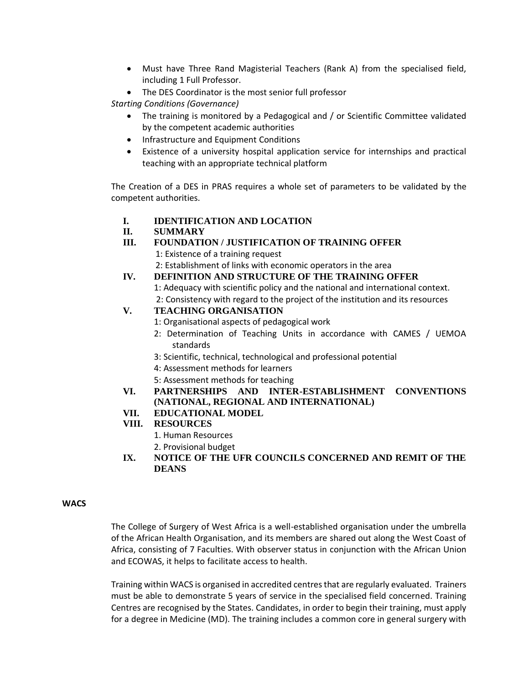- Must have Three Rand Magisterial Teachers (Rank A) from the specialised field, including 1 Full Professor.
- The DES Coordinator is the most senior full professor

*Starting Conditions (Governance)*

- The training is monitored by a Pedagogical and / or Scientific Committee validated by the competent academic authorities
- Infrastructure and Equipment Conditions
- Existence of a university hospital application service for internships and practical teaching with an appropriate technical platform

The Creation of a DES in PRAS requires a whole set of parameters to be validated by the competent authorities.

- **I. IDENTIFICATION AND LOCATION**
- **II. SUMMARY**
- **III. FOUNDATION / JUSTIFICATION OF TRAINING OFFER**
	- 1: Existence of a training request
	- 2: Establishment of links with economic operators in the area
- **IV. DEFINITION AND STRUCTURE OF THE TRAINING OFFER**

1: Adequacy with scientific policy and the national and international context. 2: Consistency with regard to the project of the institution and its resources

# **V. TEACHING ORGANISATION**

- 1: Organisational aspects of pedagogical work
- 2: Determination of Teaching Units in accordance with CAMES / UEMOA standards
- 3: Scientific, technical, technological and professional potential
- 4: Assessment methods for learners
- 5: Assessment methods for teaching
- **VI. PARTNERSHIPS AND INTER-ESTABLISHMENT CONVENTIONS (NATIONAL, REGIONAL AND INTERNATIONAL)**

# **VII. EDUCATIONAL MODEL**

- **VIII. RESOURCES**
	- 1. Human Resources
	- 2. Provisional budget
- **IX. NOTICE OF THE UFR COUNCILS CONCERNED AND REMIT OF THE DEANS**

# **WACS**

The College of Surgery of West Africa is a well-established organisation under the umbrella of the African Health Organisation, and its members are shared out along the West Coast of Africa, consisting of 7 Faculties. With observer status in conjunction with the African Union and ECOWAS, it helps to facilitate access to health.

Training within WACS is organised in accredited centres that are regularly evaluated. Trainers must be able to demonstrate 5 years of service in the specialised field concerned. Training Centres are recognised by the States. Candidates, in order to begin their training, must apply for a degree in Medicine (MD). The training includes a common core in general surgery with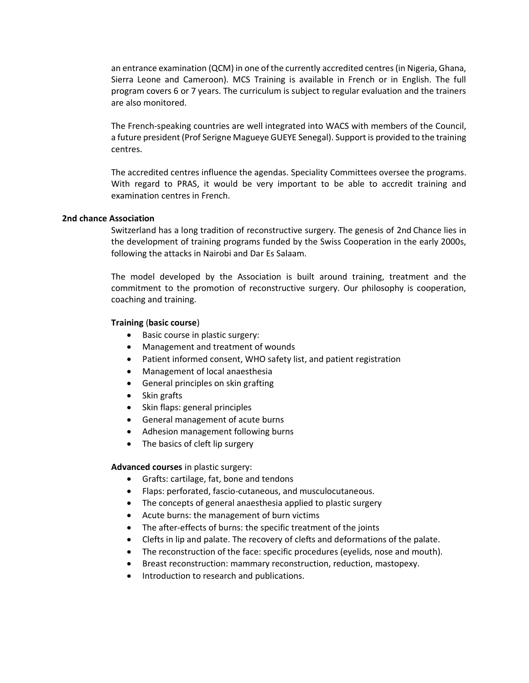an entrance examination (QCM) in one of the currently accredited centres (in Nigeria, Ghana, Sierra Leone and Cameroon). MCS Training is available in French or in English. The full program covers 6 or 7 years. The curriculum is subject to regular evaluation and the trainers are also monitored.

The French-speaking countries are well integrated into WACS with members of the Council, a future president (Prof Serigne Magueye GUEYE Senegal). Support is provided to the training centres.

The accredited centres influence the agendas. Speciality Committees oversee the programs. With regard to PRAS, it would be very important to be able to accredit training and examination centres in French.

#### **2nd chance Association**

Switzerland has a long tradition of reconstructive surgery. The genesis of 2nd Chance lies in the development of training programs funded by the Swiss Cooperation in the early 2000s, following the attacks in Nairobi and Dar Es Salaam.

The model developed by the Association is built around training, treatment and the commitment to the promotion of reconstructive surgery. Our philosophy is cooperation, coaching and training.

#### **Training** (**basic course**)

- Basic course in plastic surgery:
- Management and treatment of wounds
- Patient informed consent, WHO safety list, and patient registration
- Management of local anaesthesia
- General principles on skin grafting
- Skin grafts
- Skin flaps: general principles
- General management of acute burns
- Adhesion management following burns
- The basics of cleft lip surgery

#### **Advanced courses** in plastic surgery:

- Grafts: cartilage, fat, bone and tendons
- Flaps: perforated, fascio-cutaneous, and musculocutaneous.
- The concepts of general anaesthesia applied to plastic surgery
- Acute burns: the management of burn victims
- The after-effects of burns: the specific treatment of the joints
- Clefts in lip and palate. The recovery of clefts and deformations of the palate.
- The reconstruction of the face: specific procedures (eyelids, nose and mouth).
- Breast reconstruction: mammary reconstruction, reduction, mastopexy.
- Introduction to research and publications.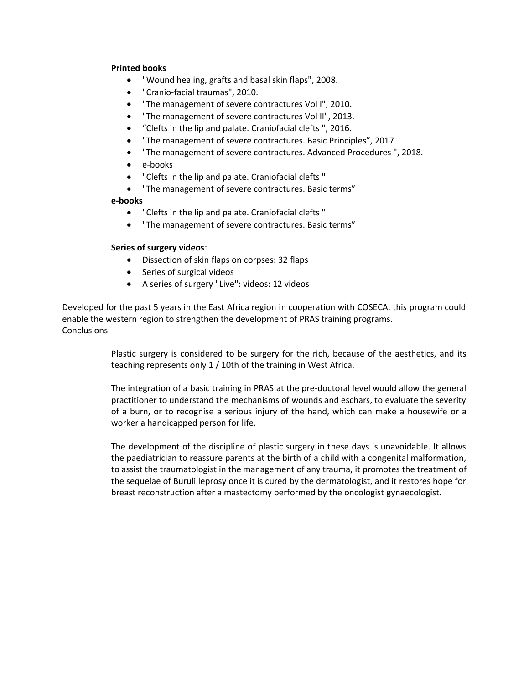# **Printed books**

- "Wound healing, grafts and basal skin flaps", 2008.
- "Cranio-facial traumas", 2010.
- "The management of severe contractures Vol I", 2010.
- "The management of severe contractures Vol II", 2013.
- "Clefts in the lip and palate. Craniofacial clefts ", 2016.
- "The management of severe contractures. Basic Principles", 2017
- "The management of severe contractures. Advanced Procedures ", 2018.
- e-books
- "Clefts in the lip and palate. Craniofacial clefts "
- "The management of severe contractures. Basic terms"

#### **e-books**

- "Clefts in the lip and palate. Craniofacial clefts "
- "The management of severe contractures. Basic terms"

#### **Series of surgery videos**:

- Dissection of skin flaps on corpses: 32 flaps
- Series of surgical videos
- A series of surgery "Live": videos: 12 videos

Developed for the past 5 years in the East Africa region in cooperation with COSECA, this program could enable the western region to strengthen the development of PRAS training programs. **Conclusions** 

> Plastic surgery is considered to be surgery for the rich, because of the aesthetics, and its teaching represents only 1 / 10th of the training in West Africa.

> The integration of a basic training in PRAS at the pre-doctoral level would allow the general practitioner to understand the mechanisms of wounds and eschars, to evaluate the severity of a burn, or to recognise a serious injury of the hand, which can make a housewife or a worker a handicapped person for life.

> The development of the discipline of plastic surgery in these days is unavoidable. It allows the paediatrician to reassure parents at the birth of a child with a congenital malformation, to assist the traumatologist in the management of any trauma, it promotes the treatment of the sequelae of Buruli leprosy once it is cured by the dermatologist, and it restores hope for breast reconstruction after a mastectomy performed by the oncologist gynaecologist.